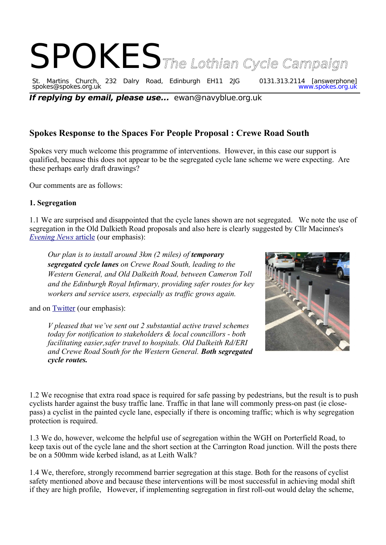# SPOKES<sub>The Lothian Cycle Campaign</sub>

St. Martins Church, 232 Dalry Road, Edinburgh EH11 2JG 0131.313.2114 [answerphone] spokes@spokes.org.uk www.spokes.org.uk

**If replying by email, please use...** ewan@navyblue.org.uk

# **Spokes Response to the Spaces For People Proposal : Crewe Road South**

Spokes very much welcome this programme of interventions. However, in this case our support is qualified, because this does not appear to be the segregated cycle lane scheme we were expecting. Are these perhaps early draft drawings?

Our comments are as follows:

### **1. Segregation**

1.1 We are surprised and disappointed that the cycle lanes shown are not segregated. We note the use of segregation in the Old Dalkieth Road proposals and also here is clearly suggested by Cllr Macinnes's  *[Evening News](https://www.edinburgh.gov.uk/news/article/12867/transport-convener-out-of-crises-can-emerge-opportunities)* article (our emphasis):

*Our plan is to install around 3km (2 miles) of <i>temporary segregated cycle lanes on Crewe Road South, leading to the Western General, and Old Dalkeith Road, between Cameron Toll and the Edinburgh Royal Infirmary, providing safer routes for key workers and service users, especially as traffic grows again.*

and on [Twitter](https://twitter.com/lmacinnessnp/status/1263158257234972681) (our emphasis):

*V pleased that we've sent out 2 substantial active travel schemes today for notification to stakeholders & local councillors - both facilitating easier,safer travel to hospitals. Old Dalkeith Rd/ERI and Crewe Road South for the Western General. Both segregated cycle routes.*



1.2 We recognise that extra road space is required for safe passing by pedestrians, but the result is to push cyclists harder against the busy traffic lane. Traffic in that lane will commonly press-on past (ie closepass) a cyclist in the painted cycle lane, especially if there is oncoming traffic; which is why segregation protection is required.

1.3 We do, however, welcome the helpful use of segregation within the WGH on Porterfield Road, to keep taxis out of the cycle lane and the short section at the Carrington Road junction. Will the posts there be on a 500mm wide kerbed island, as at Leith Walk?

1.4 We, therefore, strongly recommend barrier segregation at this stage. Both for the reasons of cyclist safety mentioned above and because these interventions will be most successful in achieving modal shift if they are high profile, However, if implementing segregation in first roll-out would delay the scheme,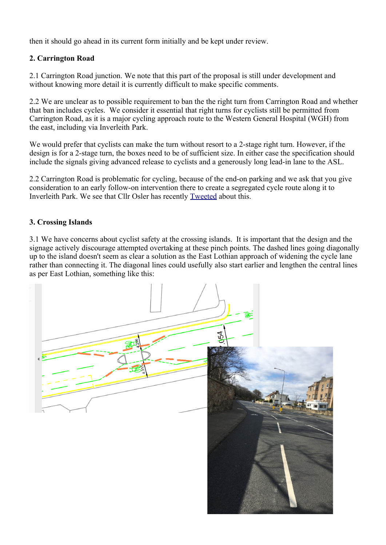then it should go ahead in its current form initially and be kept under review.

### **2. Carrington Road**

2.1 Carrington Road junction. We note that this part of the proposal is still under development and without knowing more detail it is currently difficult to make specific comments.

2.2 We are unclear as to possible requirement to ban the the right turn from Carrington Road and whether that ban includes cycles. We consider it essential that right turns for cyclists still be permitted from Carrington Road, as it is a major cycling approach route to the Western General Hospital (WGH) from the east, including via Inverleith Park.

We would prefer that cyclists can make the turn without resort to a 2-stage right turn. However, if the design is for a 2-stage turn, the boxes need to be of sufficient size. In either case the specification should include the signals giving advanced release to cyclists and a generously long lead-in lane to the ASL.

2.2 Carrington Road is problematic for cycling, because of the end-on parking and we ask that you give consideration to an early follow-on intervention there to create a segregated cycle route along it to Inverleith Park. We see that Cllr Osler has recently [Tweeted](https://twitter.com/HalOsler/status/1264130918513598465) about this.

## **3. Crossing Islands**

3.1 We have concerns about cyclist safety at the crossing islands. It is important that the design and the signage actively discourage attempted overtaking at these pinch points. The dashed lines going diagonally up to the island doesn't seem as clear a solution as the East Lothian approach of widening the cycle lane rather than connecting it. The diagonal lines could usefully also start earlier and lengthen the central lines as per East Lothian, something like this: